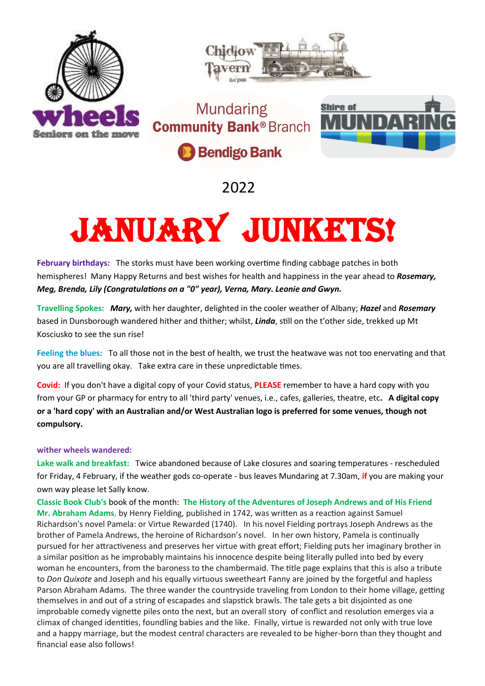



**Mundaring Community Bank® Branch** 



**Bendigo Bank** 

2022

## JANUARY JUNKETS!

**February birthdays:** The storks must have been working overtime finding cabbage patches in both hemispheres!Many Happy Returns and best wishes for health and happiness in the year ahead to *Rosemary, Meg, Brenda, Lily (Congratulations on a "0" year), Verna, Mary. Leonie and Gwyn.*

**Travelling Spokes:** *Mary,* with her daughter, delighted in the cooler weather of Albany; *Hazel* and *Rosemary* based in Dunsborough wandered hither and thither; whilst, *Linda*, still on the t'other side, trekked up Mt Kosciusko to see the sun rise!

**Feeling the blues:** To all those not in the best of health, we trust the heatwave was not too enervating and that you are all travelling okay. Take extra care in these unpredictable times.

**Covid:** If you don't have a digital copy of your Covid status, **PLEASE** remember to have a hard copy with you from your GP or pharmacy for entry to all 'third party' venues, i.e., cafes, galleries, theatre, etc**. A digital copy or a 'hard copy' with an Australian and/or West Australian logo is preferred for some venues, though not compulsory.** 

## **wither wheels wandered:**

**Lake walk and breakfast:** Twice abandoned because of Lake closures and soaring temperatures - rescheduled for Friday, 4 February, if the weather gods co-operate - bus leaves Mundaring at 7.30am, **if** you are making your own way please let Sally know.

**Classic Book Club's** book of the month: **The History of the Adventures of Joseph Andrews and of His Friend Mr. Abraham Adams**, by Henry Fielding, published in 1742, was written as a reaction against Samuel Richardson's novel Pamela: or Virtue Rewarded (1740). In his novel Fielding portrays Joseph Andrews as the brother of Pamela Andrews, the heroine of Richardson's novel. In her own history, Pamela is continually pursued for her attractiveness and preserves her virtue with great effort; Fielding puts her imaginary brother in a similar position as he improbably maintains his innocence despite being literally pulled into bed by every woman he encounters, from the baroness to the chambermaid. The title page explains that this is also a tribute to *Don Quixote* and Joseph and his equally virtuous sweetheart Fanny are joined by the forgetful and hapless Parson Abraham Adams. The three wander the countryside traveling from London to their home village, getting themselves in and out of a string of escapades and slapstick brawls. The tale gets a bit disjointed as one improbable comedy vignette piles onto the next, but an overall story of conflict and resolution emerges via a climax of changed identities, foundling babies and the like. Finally, virtue is rewarded not only with true love and a happy marriage, but the modest central characters are revealed to be higher-born than they thought and financial ease also follows!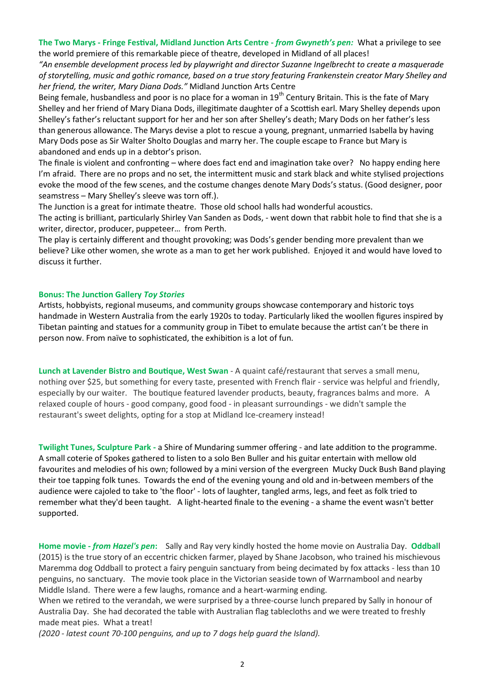**The Two Marys - Fringe Festival, Midland Junction Arts Centre -** *from Gwyneth's pen:*What a privilege to see the world premiere of this remarkable piece of theatre, developed in Midland of all places!

*"An ensemble development process led by playwright and director Suzanne Ingelbrecht to create a masquerade of storytelling, music and gothic romance, based on a true story featuring Frankenstein creator Mary Shelley and her friend, the writer, Mary Diana Dods."* Midland Junction Arts Centre

Being female, husbandless and poor is no place for a woman in 19<sup>th</sup> Century Britain. This is the fate of Mary Shelley and her friend of Mary Diana Dods, illegitimate daughter of a Scottish earl. Mary Shelley depends upon Shelley's father's reluctant support for her and her son after Shelley's death; Mary Dods on her father's less than generous allowance. The Marys devise a plot to rescue a young, pregnant, unmarried Isabella by having Mary Dods pose as Sir Walter Sholto Douglas and marry her. The couple escape to France but Mary is abandoned and ends up in a debtor's prison.

The finale is violent and confronting – where does fact end and imagination take over? No happy ending here I'm afraid. There are no props and no set, the intermittent music and stark black and white stylised projections evoke the mood of the few scenes, and the costume changes denote Mary Dods's status. (Good designer, poor seamstress – Mary Shelley's sleeve was torn off.).

The Junction is a great for intimate theatre. Those old school halls had wonderful acoustics.

The acting is brilliant, particularly Shirley Van Sanden as Dods, - went down that rabbit hole to find that she is a writer, director, producer, puppeteer… from Perth.

The play is certainly different and thought provoking; was Dods's gender bending more prevalent than we believe? Like other women, she wrote as a man to get her work published. Enjoyed it and would have loved to discuss it further.

## **Bonus: The Junction Gallery** *Toy Stories*

Artists, hobbyists, regional museums, and community groups showcase contemporary and historic toys handmade in Western Australia from the early 1920s to today. Particularly liked the woollen figures inspired by Tibetan painting and statues for a community group in Tibet to emulate because the artist can't be there in person now. From naïve to sophisticated, the exhibition is a lot of fun.

**Lunch at Lavender Bistro and Boutique, West Swan** - A quaint café/restaurant that serves a small menu, nothing over \$25, but something for every taste, presented with French flair - service was helpful and friendly, especially by our waiter. The boutique featured lavender products, beauty, fragrances balms and more. A relaxed couple of hours - good company, good food - in pleasant surroundings - we didn't sample the restaurant's sweet delights, opting for a stop at Midland Ice-creamery instead!

**Twilight Tunes, Sculpture Park -** a Shire of Mundaring summer offering - and late addition to the programme. A small coterie of Spokes gathered to listen to a solo Ben Buller and his guitar entertain with mellow old favourites and melodies of his own; followed by a mini version of the evergreen Mucky Duck Bush Band playing their toe tapping folk tunes. Towards the end of the evening young and old and in-between members of the audience were cajoled to take to 'the floor' - lots of laughter, tangled arms, legs, and feet as folk tried to remember what they'd been taught. A light-hearted finale to the evening - a shame the event wasn't better supported.

**Home movie -** *from Hazel's pen***:** Sally and Ray very kindly hosted the home movie on Australia Day. **Oddbal**l (2015) is the true story of an eccentric chicken farmer, played by Shane Jacobson, who trained his mischievous Maremma dog Oddball to protect a fairy penguin sanctuary from being decimated by fox attacks - less than 10 penguins, no sanctuary. The movie took place in the Victorian seaside town of Warrnambool and nearby Middle Island. There were a few laughs, romance and a heart-warming ending.

When we retired to the verandah, we were surprised by a three-course lunch prepared by Sally in honour of Australia Day. She had decorated the table with Australian flag tablecloths and we were treated to freshly made meat pies. What a treat!

*(2020 - latest count 70-100 penguins, and up to 7 dogs help guard the Island).*